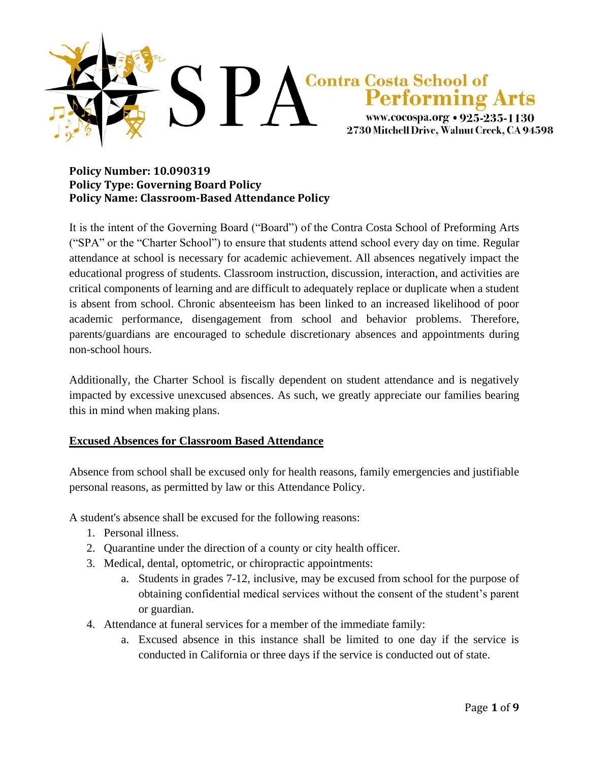

#### **Policy Number: 10.090319 Policy Type: Governing Board Policy Policy Name: Classroom-Based Attendance Policy**

It is the intent of the Governing Board ("Board") of the Contra Costa School of Preforming Arts ("SPA" or the "Charter School") to ensure that students attend school every day on time. Regular attendance at school is necessary for academic achievement. All absences negatively impact the educational progress of students. Classroom instruction, discussion, interaction, and activities are critical components of learning and are difficult to adequately replace or duplicate when a student is absent from school. Chronic absenteeism has been linked to an increased likelihood of poor academic performance, disengagement from school and behavior problems. Therefore, parents/guardians are encouraged to schedule discretionary absences and appointments during non-school hours.

Additionally, the Charter School is fiscally dependent on student attendance and is negatively impacted by excessive unexcused absences. As such, we greatly appreciate our families bearing this in mind when making plans.

## **Excused Absences for Classroom Based Attendance**

Absence from school shall be excused only for health reasons, family emergencies and justifiable personal reasons, as permitted by law or this Attendance Policy.

A student's absence shall be excused for the following reasons:

- 1. Personal illness.
- 2. Quarantine under the direction of a county or city health officer.
- 3. Medical, dental, optometric, or chiropractic appointments:
	- a. Students in grades 7-12, inclusive, may be excused from school for the purpose of obtaining confidential medical services without the consent of the student's parent or guardian.
- 4. Attendance at funeral services for a member of the immediate family:
	- a. Excused absence in this instance shall be limited to one day if the service is conducted in California or three days if the service is conducted out of state.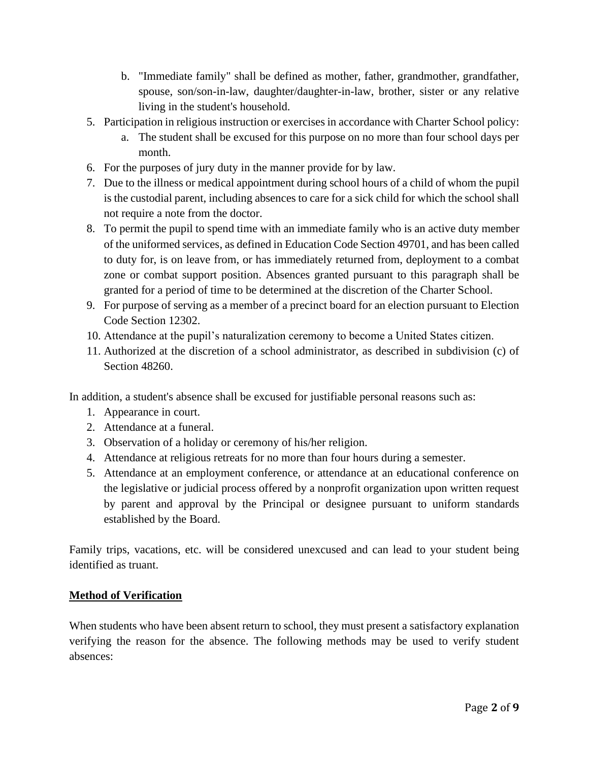- b. "Immediate family" shall be defined as mother, father, grandmother, grandfather, spouse, son/son-in-law, daughter/daughter-in-law, brother, sister or any relative living in the student's household.
- 5. Participation in religious instruction or exercises in accordance with Charter School policy:
	- a. The student shall be excused for this purpose on no more than four school days per month.
- 6. For the purposes of jury duty in the manner provide for by law.
- 7. Due to the illness or medical appointment during school hours of a child of whom the pupil is the custodial parent, including absences to care for a sick child for which the school shall not require a note from the doctor.
- 8. To permit the pupil to spend time with an immediate family who is an active duty member of the uniformed services, as defined in Education Code Section 49701, and has been called to duty for, is on leave from, or has immediately returned from, deployment to a combat zone or combat support position. Absences granted pursuant to this paragraph shall be granted for a period of time to be determined at the discretion of the Charter School.
- 9. For purpose of serving as a member of a precinct board for an election pursuant to Election Code Section 12302.
- 10. Attendance at the pupil's naturalization ceremony to become a United States citizen.
- 11. Authorized at the discretion of a school administrator, as described in subdivision (c) of Section 48260.

In addition, a student's absence shall be excused for justifiable personal reasons such as:

- 1. Appearance in court.
- 2. Attendance at a funeral.
- 3. Observation of a holiday or ceremony of his/her religion.
- 4. Attendance at religious retreats for no more than four hours during a semester.
- 5. Attendance at an employment conference, or attendance at an educational conference on the legislative or judicial process offered by a nonprofit organization upon written request by parent and approval by the Principal or designee pursuant to uniform standards established by the Board.

Family trips, vacations, etc. will be considered unexcused and can lead to your student being identified as truant.

## **Method of Verification**

When students who have been absent return to school, they must present a satisfactory explanation verifying the reason for the absence. The following methods may be used to verify student absences: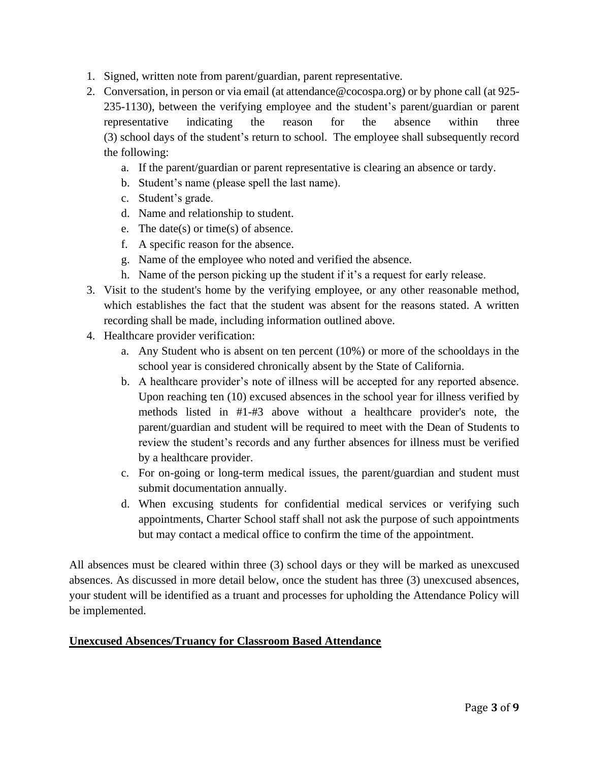- 1. Signed, written note from parent/guardian, parent representative.
- 2. Conversation, in person or via email (at attendance@cocospa.org) or by phone call (at 925- 235-1130), between the verifying employee and the student's parent/guardian or parent representative indicating the reason for the absence within three (3) school days of the student's return to school. The employee shall subsequently record the following:
	- a. If the parent/guardian or parent representative is clearing an absence or tardy.
	- b. Student's name (please spell the last name).
	- c. Student's grade.
	- d. Name and relationship to student.
	- e. The date(s) or time(s) of absence.
	- f. A specific reason for the absence.
	- g. Name of the employee who noted and verified the absence.
	- h. Name of the person picking up the student if it's a request for early release.
- 3. Visit to the student's home by the verifying employee, or any other reasonable method, which establishes the fact that the student was absent for the reasons stated. A written recording shall be made, including information outlined above.
- 4. Healthcare provider verification:
	- a. Any Student who is absent on ten percent (10%) or more of the schooldays in the school year is considered chronically absent by the State of California.
	- b. A healthcare provider's note of illness will be accepted for any reported absence. Upon reaching ten (10) excused absences in the school year for illness verified by methods listed in #1-#3 above without a healthcare provider's note, the parent/guardian and student will be required to meet with the Dean of Students to review the student's records and any further absences for illness must be verified by a healthcare provider.
	- c. For on-going or long-term medical issues, the parent/guardian and student must submit documentation annually.
	- d. When excusing students for confidential medical services or verifying such appointments, Charter School staff shall not ask the purpose of such appointments but may contact a medical office to confirm the time of the appointment.

All absences must be cleared within three (3) school days or they will be marked as unexcused absences. As discussed in more detail below, once the student has three (3) unexcused absences, your student will be identified as a truant and processes for upholding the Attendance Policy will be implemented.

## **Unexcused Absences/Truancy for Classroom Based Attendance**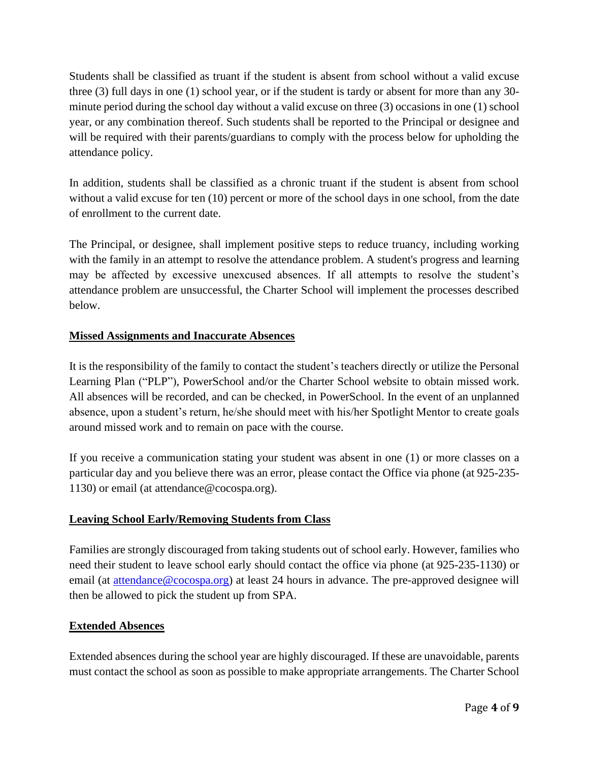Students shall be classified as truant if the student is absent from school without a valid excuse three (3) full days in one (1) school year, or if the student is tardy or absent for more than any 30 minute period during the school day without a valid excuse on three (3) occasions in one (1) school year, or any combination thereof. Such students shall be reported to the Principal or designee and will be required with their parents/guardians to comply with the process below for upholding the attendance policy.

In addition, students shall be classified as a chronic truant if the student is absent from school without a valid excuse for ten (10) percent or more of the school days in one school, from the date of enrollment to the current date.

The Principal, or designee, shall implement positive steps to reduce truancy, including working with the family in an attempt to resolve the attendance problem. A student's progress and learning may be affected by excessive unexcused absences. If all attempts to resolve the student's attendance problem are unsuccessful, the Charter School will implement the processes described below.

# **Missed Assignments and Inaccurate Absences**

It is the responsibility of the family to contact the student's teachers directly or utilize the Personal Learning Plan ("PLP"), PowerSchool and/or the Charter School website to obtain missed work. All absences will be recorded, and can be checked, in PowerSchool. In the event of an unplanned absence, upon a student's return, he/she should meet with his/her Spotlight Mentor to create goals around missed work and to remain on pace with the course.

If you receive a communication stating your student was absent in one (1) or more classes on a particular day and you believe there was an error, please contact the Office via phone (at 925-235- 1130) or email (at attendance@cocospa.org).

## **Leaving School Early/Removing Students from Class**

Families are strongly discouraged from taking students out of school early. However, families who need their student to leave school early should contact the office via phone (at 925-235-1130) or email (at [attendance@cocospa.org\)](mailto:attendance@cocospa.org) at least 24 hours in advance. The pre-approved designee will then be allowed to pick the student up from SPA.

## **Extended Absences**

Extended absences during the school year are highly discouraged. If these are unavoidable, parents must contact the school as soon as possible to make appropriate arrangements. The Charter School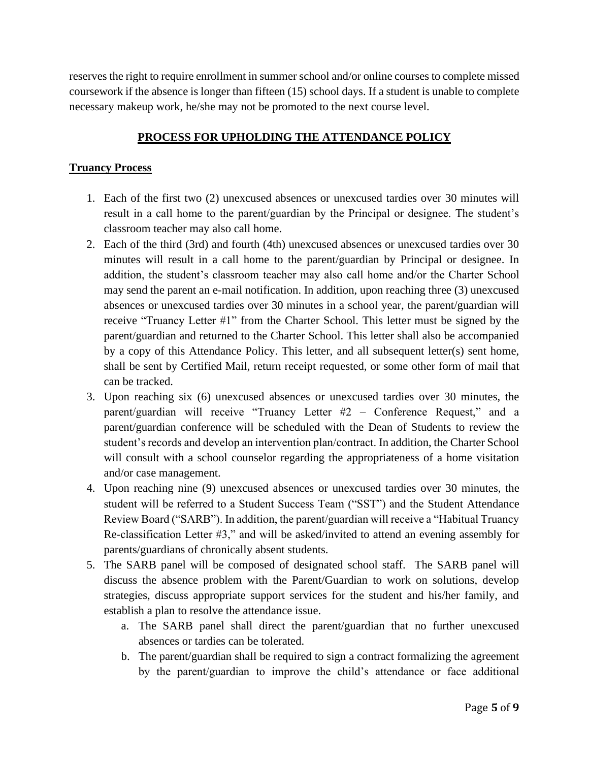reserves the right to require enrollment in summer school and/or online courses to complete missed coursework if the absence is longer than fifteen (15) school days. If a student is unable to complete necessary makeup work, he/she may not be promoted to the next course level.

# **PROCESS FOR UPHOLDING THE ATTENDANCE POLICY**

### **Truancy Process**

- 1. Each of the first two (2) unexcused absences or unexcused tardies over 30 minutes will result in a call home to the parent/guardian by the Principal or designee. The student's classroom teacher may also call home.
- 2. Each of the third (3rd) and fourth (4th) unexcused absences or unexcused tardies over 30 minutes will result in a call home to the parent/guardian by Principal or designee. In addition, the student's classroom teacher may also call home and/or the Charter School may send the parent an e-mail notification. In addition, upon reaching three (3) unexcused absences or unexcused tardies over 30 minutes in a school year, the parent/guardian will receive "Truancy Letter #1" from the Charter School. This letter must be signed by the parent/guardian and returned to the Charter School. This letter shall also be accompanied by a copy of this Attendance Policy. This letter, and all subsequent letter(s) sent home, shall be sent by Certified Mail, return receipt requested, or some other form of mail that can be tracked.
- 3. Upon reaching six (6) unexcused absences or unexcused tardies over 30 minutes, the parent/guardian will receive "Truancy Letter #2 – Conference Request," and a parent/guardian conference will be scheduled with the Dean of Students to review the student's records and develop an intervention plan/contract. In addition, the Charter School will consult with a school counselor regarding the appropriateness of a home visitation and/or case management.
- 4. Upon reaching nine (9) unexcused absences or unexcused tardies over 30 minutes, the student will be referred to a Student Success Team ("SST") and the Student Attendance Review Board ("SARB"). In addition, the parent/guardian will receive a "Habitual Truancy Re-classification Letter #3," and will be asked/invited to attend an evening assembly for parents/guardians of chronically absent students.
- 5. The SARB panel will be composed of designated school staff. The SARB panel will discuss the absence problem with the Parent/Guardian to work on solutions, develop strategies, discuss appropriate support services for the student and his/her family, and establish a plan to resolve the attendance issue.
	- a. The SARB panel shall direct the parent/guardian that no further unexcused absences or tardies can be tolerated.
	- b. The parent/guardian shall be required to sign a contract formalizing the agreement by the parent/guardian to improve the child's attendance or face additional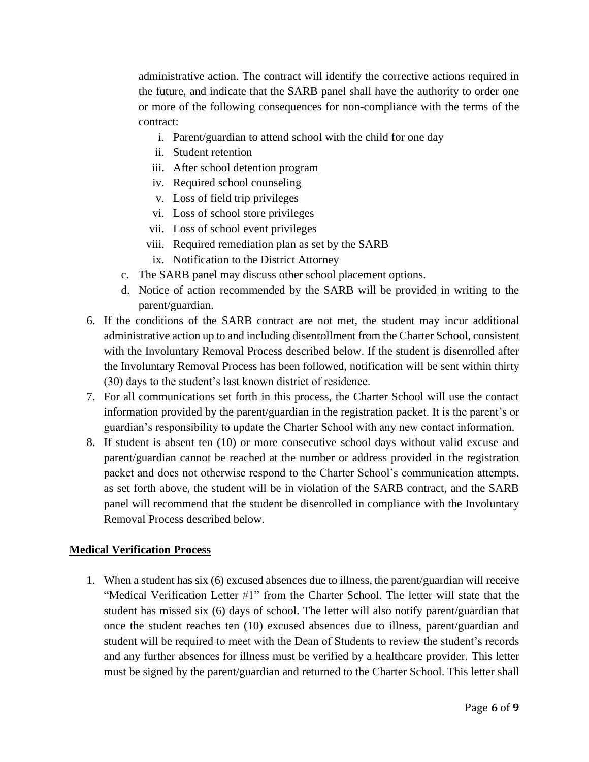administrative action. The contract will identify the corrective actions required in the future, and indicate that the SARB panel shall have the authority to order one or more of the following consequences for non-compliance with the terms of the contract:

- i. Parent/guardian to attend school with the child for one day
- ii. Student retention
- iii. After school detention program
- iv. Required school counseling
- v. Loss of field trip privileges
- vi. Loss of school store privileges
- vii. Loss of school event privileges
- viii. Required remediation plan as set by the SARB
- ix. Notification to the District Attorney
- c. The SARB panel may discuss other school placement options.
- d. Notice of action recommended by the SARB will be provided in writing to the parent/guardian.
- 6. If the conditions of the SARB contract are not met, the student may incur additional administrative action up to and including disenrollment from the Charter School, consistent with the Involuntary Removal Process described below. If the student is disenrolled after the Involuntary Removal Process has been followed, notification will be sent within thirty (30) days to the student's last known district of residence.
- 7. For all communications set forth in this process, the Charter School will use the contact information provided by the parent/guardian in the registration packet. It is the parent's or guardian's responsibility to update the Charter School with any new contact information.
- 8. If student is absent ten (10) or more consecutive school days without valid excuse and parent/guardian cannot be reached at the number or address provided in the registration packet and does not otherwise respond to the Charter School's communication attempts, as set forth above, the student will be in violation of the SARB contract, and the SARB panel will recommend that the student be disenrolled in compliance with the Involuntary Removal Process described below.

#### **Medical Verification Process**

1. When a student has six (6) excused absences due to illness, the parent/guardian will receive "Medical Verification Letter #1" from the Charter School. The letter will state that the student has missed six (6) days of school. The letter will also notify parent/guardian that once the student reaches ten (10) excused absences due to illness, parent/guardian and student will be required to meet with the Dean of Students to review the student's records and any further absences for illness must be verified by a healthcare provider. This letter must be signed by the parent/guardian and returned to the Charter School. This letter shall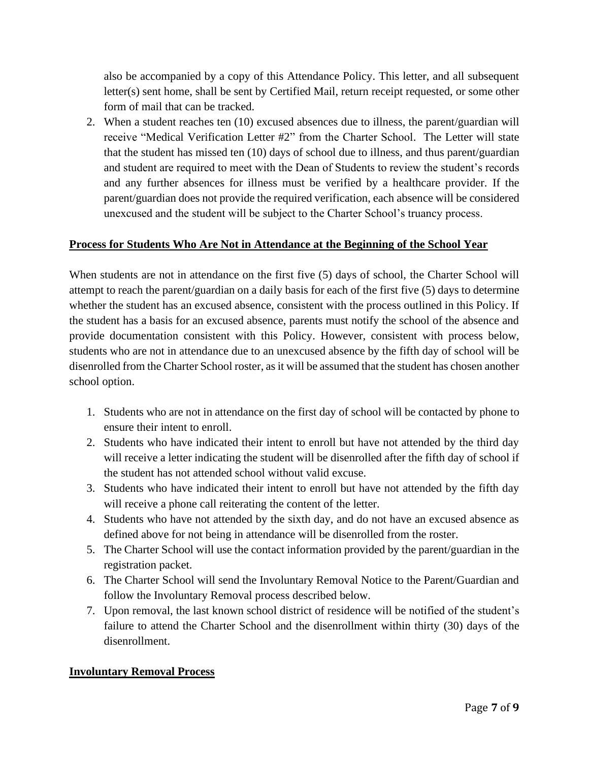also be accompanied by a copy of this Attendance Policy. This letter, and all subsequent letter(s) sent home, shall be sent by Certified Mail, return receipt requested, or some other form of mail that can be tracked.

2. When a student reaches ten (10) excused absences due to illness, the parent/guardian will receive "Medical Verification Letter #2" from the Charter School. The Letter will state that the student has missed ten (10) days of school due to illness, and thus parent/guardian and student are required to meet with the Dean of Students to review the student's records and any further absences for illness must be verified by a healthcare provider. If the parent/guardian does not provide the required verification, each absence will be considered unexcused and the student will be subject to the Charter School's truancy process.

### **Process for Students Who Are Not in Attendance at the Beginning of the School Year**

When students are not in attendance on the first five (5) days of school, the Charter School will attempt to reach the parent/guardian on a daily basis for each of the first five (5) days to determine whether the student has an excused absence, consistent with the process outlined in this Policy. If the student has a basis for an excused absence, parents must notify the school of the absence and provide documentation consistent with this Policy. However, consistent with process below, students who are not in attendance due to an unexcused absence by the fifth day of school will be disenrolled from the Charter School roster, as it will be assumed that the student has chosen another school option.

- 1. Students who are not in attendance on the first day of school will be contacted by phone to ensure their intent to enroll.
- 2. Students who have indicated their intent to enroll but have not attended by the third day will receive a letter indicating the student will be disenrolled after the fifth day of school if the student has not attended school without valid excuse.
- 3. Students who have indicated their intent to enroll but have not attended by the fifth day will receive a phone call reiterating the content of the letter.
- 4. Students who have not attended by the sixth day, and do not have an excused absence as defined above for not being in attendance will be disenrolled from the roster.
- 5. The Charter School will use the contact information provided by the parent/guardian in the registration packet.
- 6. The Charter School will send the Involuntary Removal Notice to the Parent/Guardian and follow the Involuntary Removal process described below.
- 7. Upon removal, the last known school district of residence will be notified of the student's failure to attend the Charter School and the disenrollment within thirty (30) days of the disenrollment.

#### **Involuntary Removal Process**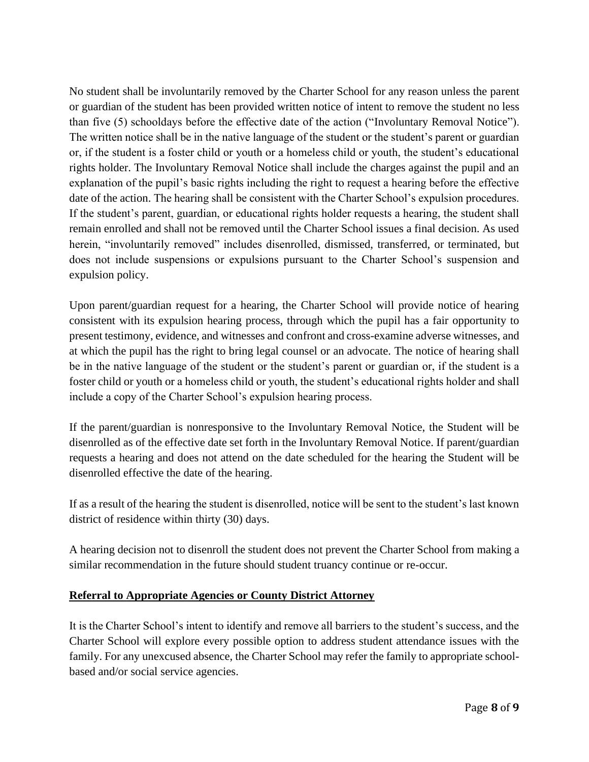No student shall be involuntarily removed by the Charter School for any reason unless the parent or guardian of the student has been provided written notice of intent to remove the student no less than five (5) schooldays before the effective date of the action ("Involuntary Removal Notice"). The written notice shall be in the native language of the student or the student's parent or guardian or, if the student is a foster child or youth or a homeless child or youth, the student's educational rights holder. The Involuntary Removal Notice shall include the charges against the pupil and an explanation of the pupil's basic rights including the right to request a hearing before the effective date of the action. The hearing shall be consistent with the Charter School's expulsion procedures. If the student's parent, guardian, or educational rights holder requests a hearing, the student shall remain enrolled and shall not be removed until the Charter School issues a final decision. As used herein, "involuntarily removed" includes disenrolled, dismissed, transferred, or terminated, but does not include suspensions or expulsions pursuant to the Charter School's suspension and expulsion policy.

Upon parent/guardian request for a hearing, the Charter School will provide notice of hearing consistent with its expulsion hearing process, through which the pupil has a fair opportunity to present testimony, evidence, and witnesses and confront and cross-examine adverse witnesses, and at which the pupil has the right to bring legal counsel or an advocate. The notice of hearing shall be in the native language of the student or the student's parent or guardian or, if the student is a foster child or youth or a homeless child or youth, the student's educational rights holder and shall include a copy of the Charter School's expulsion hearing process.

If the parent/guardian is nonresponsive to the Involuntary Removal Notice, the Student will be disenrolled as of the effective date set forth in the Involuntary Removal Notice. If parent/guardian requests a hearing and does not attend on the date scheduled for the hearing the Student will be disenrolled effective the date of the hearing.

If as a result of the hearing the student is disenrolled, notice will be sent to the student's last known district of residence within thirty (30) days.

A hearing decision not to disenroll the student does not prevent the Charter School from making a similar recommendation in the future should student truancy continue or re-occur.

## **Referral to Appropriate Agencies or County District Attorney**

It is the Charter School's intent to identify and remove all barriers to the student's success, and the Charter School will explore every possible option to address student attendance issues with the family. For any unexcused absence, the Charter School may refer the family to appropriate schoolbased and/or social service agencies.